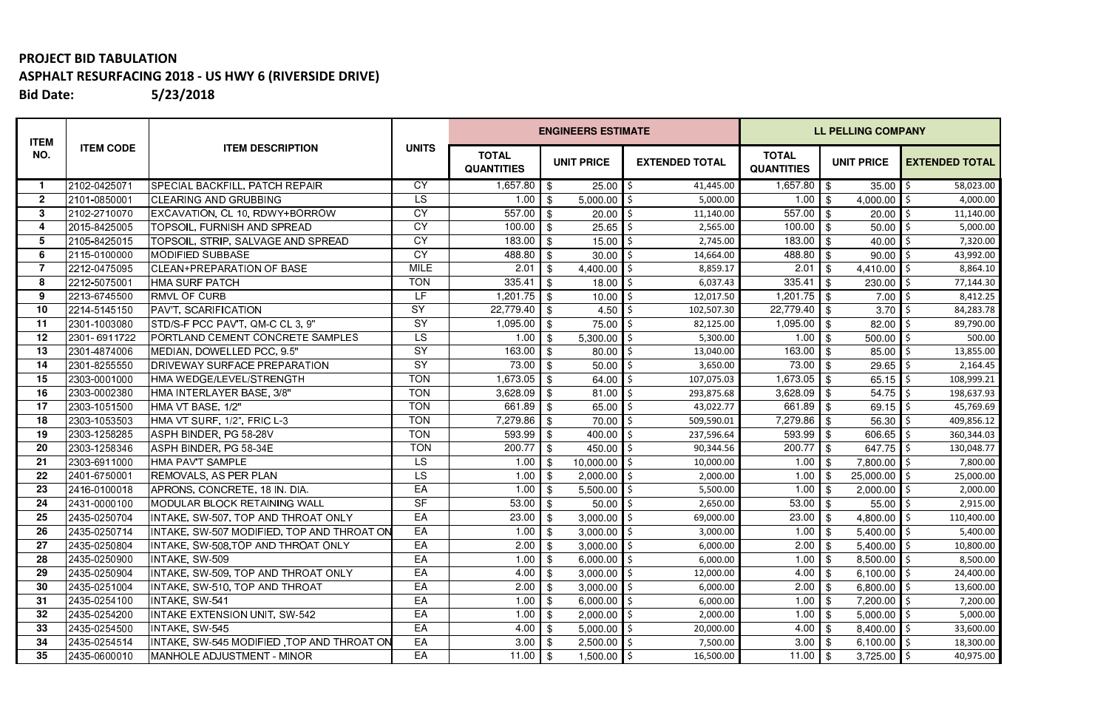## **PROJECT BID TABULATION ASPHALT RESURFACING 2018 - US HWY 6 (RIVERSIDE DRIVE) Bid Date:5/23/2018**

| <b>ITEM</b>  | <b>ITEM CODE</b> | <b>ITEM DESCRIPTION</b>                    | <b>UNITS</b> |                                   |                                                     | <b>ENGINEERS ESTIMATE</b> |                       | <b>LL PELLING COMPANY</b>         |      |                   |                       |  |  |
|--------------|------------------|--------------------------------------------|--------------|-----------------------------------|-----------------------------------------------------|---------------------------|-----------------------|-----------------------------------|------|-------------------|-----------------------|--|--|
| NO.          |                  |                                            |              | <b>TOTAL</b><br><b>QUANTITIES</b> |                                                     | <b>UNIT PRICE</b>         | <b>EXTENDED TOTAL</b> | <b>TOTAL</b><br><b>QUANTITIES</b> |      | <b>UNIT PRICE</b> | <b>EXTENDED TOTAL</b> |  |  |
|              | 2102-0425071     | SPECIAL BACKFILL, PATCH REPAIR             | <b>CY</b>    | $1,657.80$ \$                     |                                                     | 25.00                     | 41,445.00             | $1,657.80$ \$                     |      | 35.00             | 58,023.00             |  |  |
| $\mathbf{2}$ | 2101-0850001     | <b>CLEARING AND GRUBBING</b>               | <b>LS</b>    | 1.00                              | $\sqrt{3}$                                          | 5,000.00                  | 5,000.00              | 1.00                              | \$   | 4,000.00          | 4,000.00              |  |  |
| 3            | 2102-2710070     | EXCAVATION, CL 10, RDWY+BORROW             | <b>CY</b>    | 557.00                            | $\overline{\phantom{0}}$ 1 $\overline{\phantom{0}}$ | 20.00                     | 11,140.00             | 557.00                            | -\$  | 20.00             | 11,140.00             |  |  |
| 4            | 2015-8425005     | <b>TOPSOIL, FURNISH AND SPREAD</b>         | <b>CY</b>    | 100.00                            | $\overline{\phantom{a}}$ s                          | 25.65                     | 2,565.00              | 100.00                            | -\$  | 50.00             | 5,000.00              |  |  |
| 5            | 2105-8425015     | TOPSOIL, STRIP, SALVAGE AND SPREAD         | <b>CY</b>    | 183.00                            | l \$                                                | 15.00                     | 2,745.00              | 183.00                            | -\$  | 40.00             | 7,320.00              |  |  |
| 6            | 2115-0100000     | MODIFIED SUBBASE                           | <b>CY</b>    | 488.80                            | l \$                                                | 30.00                     | 14,664.00             | 488.80                            | -\$  | 90.00             | 43,992.00             |  |  |
| 7            | 2212-0475095     | <b>CLEAN+PREPARATION OF BASE</b>           | <b>MILE</b>  | 2.01                              | \$                                                  | 4,400.00                  | 8,859.17              | 2.01                              | -96  | 4,410.00          | 8,864.10              |  |  |
| 8            | 2212-5075001     | HMA SURF PATCH                             | <b>TON</b>   | 335.41                            | $\sqrt{3}$                                          | 18.00                     | 6,037.43<br>-S        | 335.41                            | -\$  | 230.00            | 77,144.30             |  |  |
| 9            | 2213-6745500     | <b>RMVL OF CURB</b>                        | LF           | $1,201.75$ \$                     |                                                     | 10.00                     | 12,017.50             | $1,201.75$ \$                     |      | 7.00              | 8,412.25              |  |  |
| 10           | 2214-5145150     | <b>PAVT, SCARIFICATION</b>                 | <b>SY</b>    | 22,779.40 \$                      |                                                     | 4.50                      | 102,507.30<br>-S      | $22,779.40$ \$                    |      | 3.70              | 84,283.78             |  |  |
| 11           | 2301-1003080     | STD/S-F PCC PAV'T, QM-C CL 3, 9"           | SY           | 1,095.00                          | $\sqrt{3}$                                          | 75.00                     | 82,125.00             | 1,095.00                          | \$   | 82.00             | 89,790.00             |  |  |
| 12           | 2301-6911722     | <b>PORTLAND CEMENT CONCRETE SAMPLES</b>    | LS           | 1.00                              | \$                                                  | 5,300.00                  | 5,300.00              | 1.00                              | -\$  | 500.00            | 500.00                |  |  |
| 13           | 2301-4874006     | MEDIAN, DOWELLED PCC, 9.5"                 | SY           | 163.00                            | $\overline{\phantom{a}}$ s                          | 80.00                     | 13,040.00             | 163.00                            | \$   | 85.00             | 13,855.00             |  |  |
| 14           | 2301-8255550     | <b>IDRIVEWAY SURFACE PREPARATION</b>       | <b>SY</b>    | 73.00                             | \$                                                  | 50.00                     | 3,650.00              | 73.00                             | -\$  | 29.65             | 2,164.45              |  |  |
| 15           | 2303-0001000     | HMA WEDGE/LEVEL/STRENGTH                   | <b>TON</b>   | $1,673.05$ \$                     |                                                     | 64.00                     | 107,075.03            | 1,673.05                          | \$   | 65.15             | 108,999.21            |  |  |
| 16           | 2303-0002380     | HMA INTERLAYER BASE, 3/8"                  | <b>TON</b>   | $3,628.09$ \$                     |                                                     | 81.00                     | 293,875.68            | 3,628.09                          | -\$  | 54.75             | 198,637.93            |  |  |
| 17           | 2303-1051500     | HMA VT BASE, 1/2"                          | <b>TON</b>   | $661.89$ \$                       |                                                     | 65.00 $\frac{1}{2}$       | 43,022.77             | 661.89 \$                         |      | 69.15             | 45,769.69             |  |  |
| 18           | 2303-1053503     | HMA VT SURF, 1/2", FRIC L-3                | <b>TON</b>   | 7,279.86 \$                       |                                                     | $70.00$   \$              | 509,590.01            | 7,279.86                          | -\$  | 56.30             | 409,856.12            |  |  |
| 19           | 2303-1258285     | ASPH BINDER, PG 58-28V                     | <b>TON</b>   | $593.99$ \$                       |                                                     | $400.00$ \$               | 237,596.64            | 593.99                            | -\$  | 606.65            | 360,344.03            |  |  |
| 20           | 2303-1258346     | ASPH BINDER, PG 58-34E                     | <b>TON</b>   | 200.77                            | $\sqrt{3}$                                          | $450.00$   \$             | 90,344.56             | 200.77                            | -\$  | 647.75            | 130,048.77            |  |  |
| 21           | 2303-6911000     | HMA PAV'T SAMPLE                           | LS           | 1.00                              | l \$                                                | $10,000.00$ \$            | 10,000.00             | 1.00                              | -\$  | 7,800.00          | 7,800.00              |  |  |
| 22           | 2401-6750001     | <b>REMOVALS, AS PER PLAN</b>               | <b>LS</b>    | 1.00                              | $\overline{\phantom{0}}$ 1 $\overline{\phantom{0}}$ | $2,000.00$ \$             | 2,000.00              | $1.00$ \$                         |      | 25,000.00         | 25,000.00             |  |  |
| 23           | 2416-0100018     | APRONS, CONCRETE, 18 IN. DIA.              | EA           | 1.00                              | $\sqrt{3}$                                          | $5,500.00$ \$             | 5,500.00              | 1.00                              |      | 2,000.00          | 2,000.00              |  |  |
| 24           | 2431-0000100     | MODULAR BLOCK RETAINING WALL               | <b>SF</b>    | 53.00                             | $\overline{1}$                                      | 50.00                     | 2,650.00              | 53.00                             | \$   | 55.00             | 2,915.00              |  |  |
| 25           | 2435-0250704     | INTAKE, SW-507, TOP AND THROAT ONLY        | EA           | 23.00                             | \$                                                  | $3,000.00$ \$             | 69,000.00             | 23.00                             | -96  | 4,800.00          | 110,400.00            |  |  |
| 26           | 2435-0250714     | INTAKE, SW-507 MODIFIED, TOP AND THROAT ON | EA           | $1.00$ \$                         |                                                     | $3,000.00$ \$             | 3,000.00              | $1.00$ \$                         |      | $5,400.00$ \$     | 5,400.00              |  |  |
| 27           | 2435-0250804     | INTAKE, SW-508, TOP AND THROAT ONLY        | EA           | $2.00$ \$                         |                                                     | $3,000.00$ \$             | 6,000.00              | $2.00$ \ \$                       |      | $5,400.00$ \$     | 10,800.00             |  |  |
| 28           | 2435-0250900     | INTAKE, SW-509                             | EA           | $1.00$ \$                         |                                                     | $6,000.00$ \$             | 6,000.00              | $1.00$ \$                         |      | $8,500.00$ \$     | 8,500.00              |  |  |
| 29           | 2435-0250904     | INTAKE, SW-509, TOP AND THROAT ONLY        | EA           |                                   |                                                     | $3,000.00$ \$             | 12,000.00             | 4.00                              | - \$ | 6,100.00          | 24,400.00             |  |  |
| 30           | 2435-0251004     | INTAKE, SW-510, TOP AND THROAT             | EA           | $2.00$ \$                         |                                                     | $3,000.00$ \$             | 6,000.00              | $2.00$   \$                       |      | $6,800.00$ \$     | 13,600.00             |  |  |
| 31           | 2435-0254100     | INTAKE, SW-541                             | EA           | $1.00$ \$                         |                                                     | $6,000.00$ \$             | 6,000.00              |                                   |      | 7,200.00          | 7,200.00              |  |  |
| 32           | 2435-0254200     | INTAKE EXTENSION UNIT, SW-542              | EA           | $1.00$ \$                         |                                                     | $2,000.00$ \$             | 2,000.00              |                                   |      | 5,000.00          | 5,000.00              |  |  |
| 33           | 2435-0254500     | INTAKE, SW-545                             | EA           | $4.00$ \$                         |                                                     | $5,000.00$ \$             | 20,000.00             | 4.00                              |      | 8,400.00          | 33,600.00             |  |  |
| 34           | 2435-0254514     | INTAKE, SW-545 MODIFIED, TOP AND THROAT ON | EA           | $3.00$ \$                         |                                                     | $2,500.00$ \$             | 7,500.00              | $3.00$ \$                         |      | 6,100.00          | 18,300.00             |  |  |
| 35           | 2435-0600010     | MANHOLE ADJUSTMENT - MINOR                 | EA           | 11.00 $$$                         |                                                     | $1,500.00$ \$             | 16,500.00             | 11.00 $\frac{1}{3}$               |      | $3,725.00$ \$     | 40,975.00             |  |  |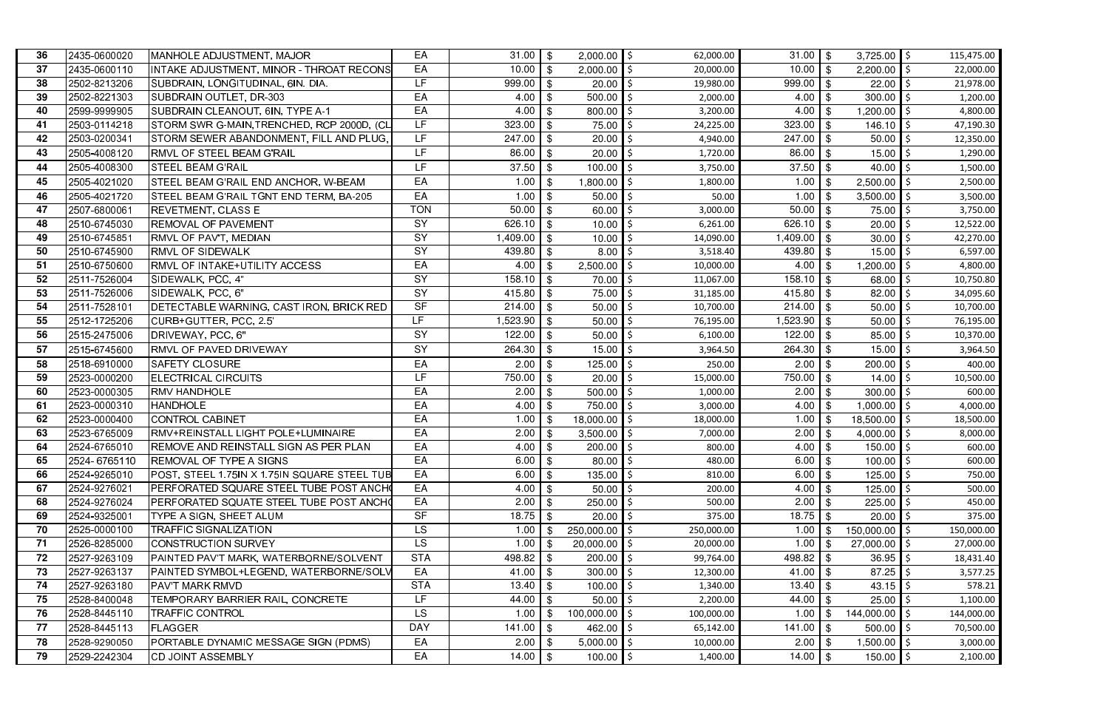| 36 | 2435-0600020 | MANHOLE ADJUSTMENT, MAJOR                           | EA              | $31.00$   \$         |                          | $2,000.00$ \$       | 62,000.00  | $31.00$ \$            |            | $3,725.00$ \$  | 115,475.00 |
|----|--------------|-----------------------------------------------------|-----------------|----------------------|--------------------------|---------------------|------------|-----------------------|------------|----------------|------------|
| 37 | 2435-0600110 | INTAKE ADJUSTMENT, MINOR - THROAT RECONS            | EA              | 10.00                | \$                       | $2,000.00$ \$       | 20,000.00  | 10.00                 | -\$        | 2,200.00       | 22,000.00  |
| 38 | 2502-8213206 | SUBDRAIN, LONGITUDINAL, 6IN. DIA.                   | LF              | 999.00               | \$                       | 20.00               | 19,980.00  | 999.00                | $\sqrt{3}$ | 22.00          | 21,978.00  |
| 39 | 2502-8221303 | SUBDRAIN OUTLET, DR-303                             | EA              | 4.00                 | \$                       | 500.00              | 2,000.00   | 4.00                  | -\$        | 300.00         | 1,200.00   |
| 40 | 2599-9999905 | SUBDRAIN CLEANOUT, 6IN, TYPE A-1                    | EA              | 4.00                 | \$                       | 800.00              | 3,200.00   | 4.00                  | \$         | 1,200.00       | 4,800.00   |
| 41 | 2503-0114218 | STORM SWR G-MAIN, TRENCHED, RCP 2000D, (CL          | LF              | 323.00               | \$                       | 75.00               | 24,225.00  | 323.00                | -\$        | 146.10         | 47,190.30  |
| 42 | 2503-0200341 | STORM SEWER ABANDONMENT, FILL AND PLUG,             | LF              | 247.00               | $\overline{1}$           | 20.00               | 4,940.00   | $247.00$ \$           |            | 50.00          | 12,350.00  |
| 43 | 2505-4008120 | <b>RMVL OF STEEL BEAM G'RAIL</b>                    | LF              | 86.00                | -\$                      | 20.00               | 1,720.00   | 86.00                 | -\$        | 15.00          | 1,290.00   |
| 44 | 2505-4008300 | <b>STEEL BEAM G'RAIL</b>                            | LF              | 37.50                | -\$                      | 100.00              | 3,750.00   | 37.50                 | \$         | 40.00          | 1,500.00   |
| 45 | 2505-4021020 | STEEL BEAM G'RAIL END ANCHOR, W-BEAM                | EA              | 1.00                 | \$                       | 1,800.00            | 1,800.00   | 1.00                  | \$         | 2,500.00       | 2,500.00   |
| 46 | 2505-4021720 | STEEL BEAM G'RAIL TGNT END TERM, BA-205             | EA              | 1.00                 | -\$                      | 50.00               | 50.00      | 1.00                  | - \$       | 3,500.00       | 3,500.00   |
| 47 | 2507-6800061 | <b>REVETMENT, CLASS E</b>                           | <b>TON</b>      | 50.00                | \$                       | 60.00               | 3,000.00   | $\overline{50.00}$ \$ |            | 75.00          | 3,750.00   |
| 48 | 2510-6745030 | <b>REMOVAL OF PAVEMENT</b>                          | SY              | 626.10               | \$                       | 10.00               | 6,261.00   | $626.10$ \$           |            | 20.00          | 12,522.00  |
| 49 | 2510-6745851 | <b>RMVL OF PAV'T, MEDIAN</b>                        | $\overline{SY}$ | 1,409.00             | $\blacksquare$           | 10.00               | 14,090.00  | $1,409.00$ \$         |            | 30.00          | 42,270.00  |
| 50 | 2510-6745900 | <b>RMVL OF SIDEWALK</b>                             | SY              | 439.80               | \$                       | 8.00                | 3,518.40   | $439.80$ \$           |            | 15.00          | 6,597.00   |
| 51 | 2510-6750600 | <b>RMVL OF INTAKE+UTILITY ACCESS</b>                | EA              | 4.00                 | \$                       | 2,500.00            | 10,000.00  | 4.00                  | -\$        | 1,200.00       | 4,800.00   |
| 52 | 2511-7526004 | SIDEWALK, PCC, 4"                                   | SY              | 158.10               | \$                       | 70.00               | 11,067.00  | $158.10$ \$           |            | 68.00          | 10,750.80  |
| 53 | 2511-7526006 | SIDEWALK, PCC, 6"                                   | SY              | 415.80               | -\$                      | 75.00               | 31,185.00  | 415.80                | -\$        | 82.00          | 34,095.60  |
| 54 | 2511-7528101 | DETECTABLE WARNING, CAST IRON, BRICK RED            | SF              | 214.00               | $\blacksquare$           | 50.00               | 10,700.00  | $214.00$ \$           |            | 50.00          | 10,700.00  |
| 55 | 2512-1725206 | CURB+GUTTER, PCC, 2.5'                              | LF.             | 1,523.90             | \$                       | $50.00$   \$        | 76,195.00  | $1,523.90$ \$         |            | 50.00          | 76,195.00  |
| 56 | 2515-2475006 | DRIVEWAY, PCC, 6"                                   | SY              | 122.00               | $\blacksquare$           | $50.00$ \$          | 6,100.00   | $122.00$ \$           |            | 85.00          | 10,370.00  |
| 57 | 2515-6745600 | <b>RMVL OF PAVED DRIVEWAY</b>                       | SY              | 264.30               | \$                       | 15.00               | 3,964.50   | 264.30                | \$         | 15.00          | 3,964.50   |
| 58 | 2518-6910000 | <b>SAFETY CLOSURE</b>                               | EA              | 2.00                 |                          | 125.00              | 250.00     | 2.00                  | -\$        | 200.00         | 400.00     |
| 59 | 2523-0000200 | ELECTRICAL CIRCUITS                                 | <b>LF</b>       | 750.00               | \$                       | $20.00$   \$        | 15,000.00  | $\sqrt{750.00}$ \$    |            | 14.00          | 10,500.00  |
| 60 | 2523-0000305 | <b>RMV HANDHOLE</b>                                 | EA              | 2.00                 | -\$                      | $500.00$ \$         | 1,000.00   | 2.00                  | \$         | 300.00         | 600.00     |
| 61 | 2523-0000310 | <b>HANDHOLE</b>                                     | EA              | 4.00                 | $\overline{1}$ s         | 750.00 \$           | 3,000.00   | 4.00                  | -\$        | 1,000.00       | 4,000.00   |
| 62 | 2523-0000400 | CONTROL CABINET                                     | EA              | 1.00                 | $\overline{\phantom{a}}$ | $18,000.00$   \$    | 18,000.00  | 1.00                  | -\$        | 18,500.00      | 18,500.00  |
| 63 | 2523-6765009 | RMV+REINSTALL LIGHT POLE+LUMINAIRE                  | EA              | 2.00                 | - \$                     | 3,500.00 $\vert$ \$ | 7,000.00   | 2.00                  | -\$        | 4,000.00       | 8,000.00   |
| 64 | 2524-6765010 | <b>REMOVE AND REINSTALL SIGN AS PER PLAN</b>        | EA              | $4.00$ \$            |                          | $200.00$ \$         | 800.00     | $4.00$ \$             |            | 150.00 \$      | 600.00     |
| 65 | 2524-6765110 | <b>REMOVAL OF TYPE A SIGNS</b>                      | EA              | $6.00$ \$            |                          | $80.00$ \$          | 480.00     | $6.00$ \$             |            | $100.00$ \$    | 600.00     |
| 66 | 2524-9265010 | <b>POST, STEEL 1.75IN X 1.75IN SQUARE STEEL TUB</b> | EA              | $6.00$ \$            |                          | $135.00$ \$         | 810.00     | $6.00$ \$             |            | 125.00         | 750.00     |
| 67 | 2524-9276021 | <b>PERFORATED SQUARE STEEL TUBE POST ANCH</b>       | EA              | 4.00                 | -\$                      | $50.00$   \$        | 200.00     | 4.00                  | -\$        | 125.00         | 500.00     |
| 68 | 2524-9276024 | PERFORATED SQUATE STEEL TUBE POST ANCHO             | EA              | 2.00                 | -\$                      | $250.00$ \$         | 500.00     | 2.00                  | -\$        | 225.00         | 450.00     |
| 69 | 2524-9325001 | TYPE A SIGN, SHEET ALUM                             | <b>SF</b>       | $18.75$ \$           |                          | $20.00$   \$        | 375.00     | 18.75                 | - \$       | 20.00          | 375.00     |
| 70 | 2525-0000100 | <b>TRAFFIC SIGNALIZATION</b>                        | <b>LS</b>       | 1.00                 |                          | 250,000.00 \$       | 250,000.00 | 1.00                  | - \$       | 150,000.00     | 150,000.00 |
| 71 | 2526-8285000 | <b>CONSTRUCTION SURVEY</b>                          | LS.             | 1.00                 |                          | $20,000.00$ \$      | 20,000.00  | 1.00                  |            | $27,000.00$ \$ | 27,000.00  |
| 72 | 2527-9263109 | PAINTED PAV'T MARK, WATERBORNE/SOLVENT              | <b>STA</b>      | 498.82 $\frac{1}{3}$ |                          | $200.00$ \$         | 99,764.00  | $498.82$ \$           |            | 36.95          | 18,431.40  |
| 73 | 2527-9263137 | <b>PAINTED SYMBOL+LEGEND, WATERBORNE/SOLV</b>       | EA              | 41.00 $\frac{1}{3}$  |                          | $300.00$ \$         | 12,300.00  |                       |            | 87.25          | 3,577.25   |
| 74 | 2527-9263180 | <b>PAV'T MARK RMVD</b>                              | <b>STA</b>      |                      |                          | $100.00$ \$         | 1,340.00   | $13.40$ \$            |            | 43.15          | 578.21     |
| 75 | 2528-8400048 | TEMPORARY BARRIER RAIL, CONCRETE                    | LF              | 44.00                |                          | $50.00$   \$        | 2,200.00   | 44.00                 | - \$       | 25.00          | 1,100.00   |
| 76 | 2528-8445110 | <b>TRAFFIC CONTROL</b>                              | LS.             | 1.00                 |                          | $100,000.00$ \$     | 100,000.00 | 1.00                  |            | 144,000.00     | 144,000.00 |
| 77 | 2528-8445113 | <b>FLAGGER</b>                                      | <b>DAY</b>      | $141.00$ \$          |                          | $462.00$ \$         | 65,142.00  | 141.00                | <b>\$</b>  | 500.00         | 70,500.00  |
| 78 | 2528-9290050 | PORTABLE DYNAMIC MESSAGE SIGN (PDMS)                | EA              | 2.00                 | ∣ \$                     | $5,000.00$ \$       | 10,000.00  | 2.00                  | - \$       | 1,500.00       | 3,000.00   |
| 79 | 2529-2242304 | <b>CD JOINT ASSEMBLY</b>                            | EA              | $14.00$ \$           |                          | $100.00$ \$         | 1,400.00   | $14.00$ \$            |            | $150.00$   \$  | 2,100.00   |